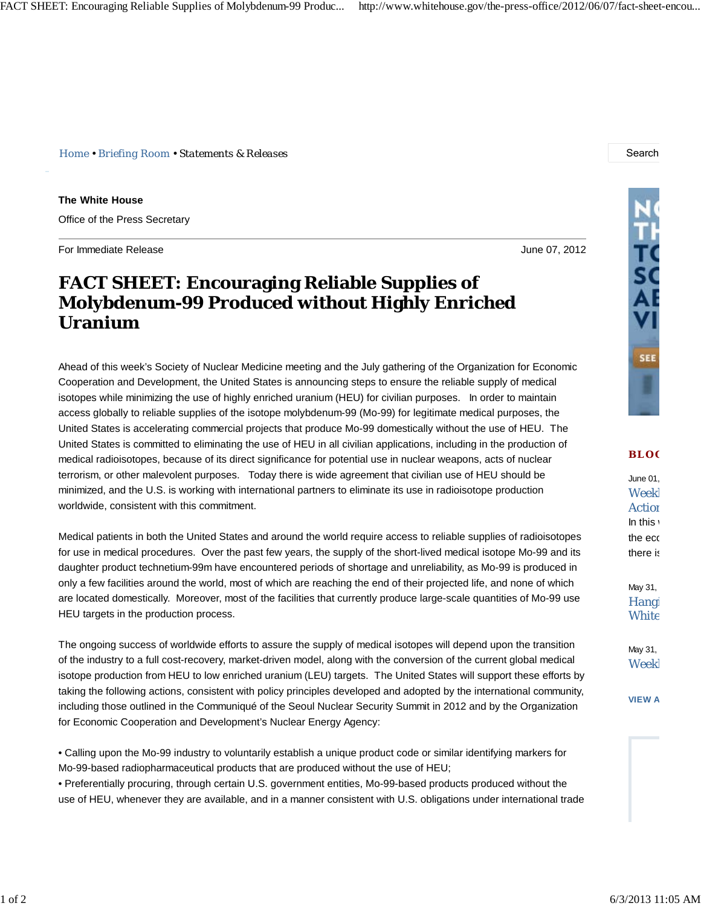*Home • Briefing Room • Statements & Releases* Search

**The White House** Office of the Press Secretary

For Immediate Release June 07, 2012

## **FACT SHEET: Encouraging Reliable Supplies of Molybdenum-99 Produced without Highly Enriched Uranium**

Ahead of this week's Society of Nuclear Medicine meeting and the July gathering of the Organization for Economic Cooperation and Development, the United States is announcing steps to ensure the reliable supply of medical isotopes while minimizing the use of highly enriched uranium (HEU) for civilian purposes. In order to maintain access globally to reliable supplies of the isotope molybdenum-99 (Mo-99) for legitimate medical purposes, the United States is accelerating commercial projects that produce Mo-99 domestically without the use of HEU. The United States is committed to eliminating the use of HEU in all civilian applications, including in the production of medical radioisotopes, because of its direct significance for potential use in nuclear weapons, acts of nuclear terrorism, or other malevolent purposes. Today there is wide agreement that civilian use of HEU should be minimized, and the U.S. is working with international partners to eliminate its use in radioisotope production worldwide, consistent with this commitment.

Medical patients in both the United States and around the world require access to reliable supplies of radioisotopes for use in medical procedures. Over the past few years, the supply of the short-lived medical isotope Mo-99 and its daughter product technetium-99m have encountered periods of shortage and unreliability, as Mo-99 is produced in only a few facilities around the world, most of which are reaching the end of their projected life, and none of which are located domestically. Moreover, most of the facilities that currently produce large-scale quantities of Mo-99 use HEU targets in the production process.

The ongoing success of worldwide efforts to assure the supply of medical isotopes will depend upon the transition of the industry to a full cost-recovery, market-driven model, along with the conversion of the current global medical isotope production from HEU to low enriched uranium (LEU) targets. The United States will support these efforts by taking the following actions, consistent with policy principles developed and adopted by the international community, including those outlined in the Communiqué of the Seoul Nuclear Security Summit in 2012 and by the Organization for Economic Cooperation and Development's Nuclear Energy Agency:

• Calling upon the Mo-99 industry to voluntarily establish a unique product code or similar identifying markers for Mo-99-based radiopharmaceutical products that are produced without the use of HEU;

• Preferentially procuring, through certain U.S. government entities, Mo-99-based products produced without the use of HEU, whenever they are available, and in a manner consistent with U.S. obligations under international trade



**BLO G**

June 01, Weekl **Action** In this the eco there is

May 31, Hangi **White** 

May 31, Weekl

**VIEW A**